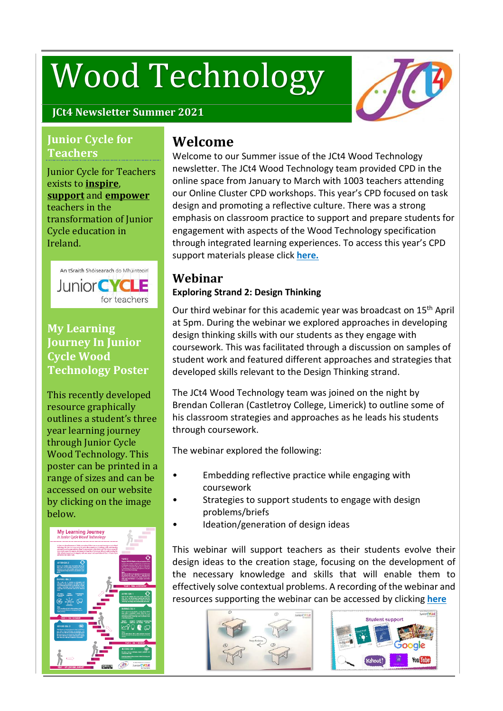# Wood Technology



#### **JCt4 Newsletter Summer 2021**

#### **Junior Cycle for Teachers**

Junior Cycle for Teachers exists to **inspire**, **support** and **empower** teachers in the transformation of Junior Cycle education in Ireland.



#### **My Learning Journey In Junior Cycle Wood Technology Poster**

This recently developed resource graphically outlines a student's three year learning journey through Junior Cycle Wood Technology. This poster can be printed in a range of sizes and can be accessed on our website by clicking on the image below.



## **Welcome**

Welcome to our Summer issue of the JCt4 Wood Technology newsletter. The JCt4 Wood Technology team provided CPD in the online space from January to March with 1003 teachers attending our Online Cluster CPD workshops. This year's CPD focused on task design and promoting a reflective culture. There was a strong emphasis on classroom practice to support and prepare students for engagement with aspects of the Wood Technology specification through integrated learning experiences. To access this year's CPD support materials please click **[here.](https://www.jct.ie/technologies/cpd_supports_wood_technology_cpd_workshops_2020_2021)**

## **Webinar**

## **Exploring Strand 2: Design Thinking**

Our third webinar for this academic year was broadcast on 15<sup>th</sup> April at 5pm. During the webinar we explored approaches in developing design thinking skills with our students as they engage with coursework. This was facilitated through a discussion on samples of student work and featured different approaches and strategies that developed skills relevant to the Design Thinking strand.

The JCt4 Wood Technology team was joined on the night by Brendan Colleran (Castletroy College, Limerick) to outline some of his classroom strategies and approaches as he leads his students through coursework.

The webinar explored the following:

- Embedding reflective practice while engaging with coursework
- Strategies to support students to engage with design problems/briefs
- Ideation/generation of design ideas

This webinar will support teachers as their students evolve their design ideas to the creation stage, focusing on the development of the necessary knowledge and skills that will enable them to effectively solve contextual problems. A recording of the webinar and resources supporting the webinar can be accessed by clicking **[here](https://www.jct.ie/technologies/cpd_supports_wood_technology_elective_workshops)**